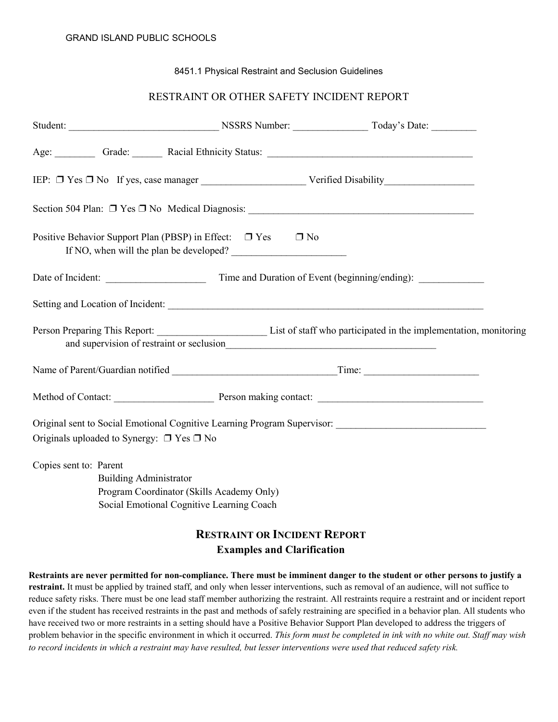## 8451.1 Physical Restraint and Seclusion Guidelines

## RESTRAINT OR OTHER SAFETY INCIDENT REPORT

| Positive Behavior Support Plan (PBSP) in Effect: $\Box$ Yes<br>If NO, when will the plan be developed?                                            | $\Box$ No                           |                                                                                                                          |
|---------------------------------------------------------------------------------------------------------------------------------------------------|-------------------------------------|--------------------------------------------------------------------------------------------------------------------------|
|                                                                                                                                                   |                                     |                                                                                                                          |
|                                                                                                                                                   |                                     |                                                                                                                          |
|                                                                                                                                                   |                                     |                                                                                                                          |
| Name of Parent/Guardian notified Time: Time:                                                                                                      |                                     |                                                                                                                          |
|                                                                                                                                                   |                                     |                                                                                                                          |
| Originals uploaded to Synergy: $\Box$ Yes $\Box$ No                                                                                               |                                     | Original sent to Social Emotional Cognitive Learning Program Supervisor: National Cognitive Learning Program Supervisor: |
| Copies sent to: Parent<br><b>Building Administrator</b><br>Program Coordinator (Skills Academy Only)<br>Social Emotional Cognitive Learning Coach |                                     |                                                                                                                          |
|                                                                                                                                                   | <b>RESTRAINT OR INCIDENT REPORT</b> |                                                                                                                          |

## **Examples and Clarification**

**Restraints are never permitted for non-compliance. There must be imminent danger to the student or other persons to justify a restraint.** It must be applied by trained staff, and only when lesser interventions, such as removal of an audience, will not suffice to reduce safety risks. There must be one lead staff member authorizing the restraint. All restraints require a restraint and or incident report even if the student has received restraints in the past and methods of safely restraining are specified in a behavior plan. All students who have received two or more restraints in a setting should have a Positive Behavior Support Plan developed to address the triggers of problem behavior in the specific environment in which it occurred. *This form must be completed in ink with no white out. Staff may wish to record incidents in which a restraint may have resulted, but lesser interventions were used that reduced safety risk.*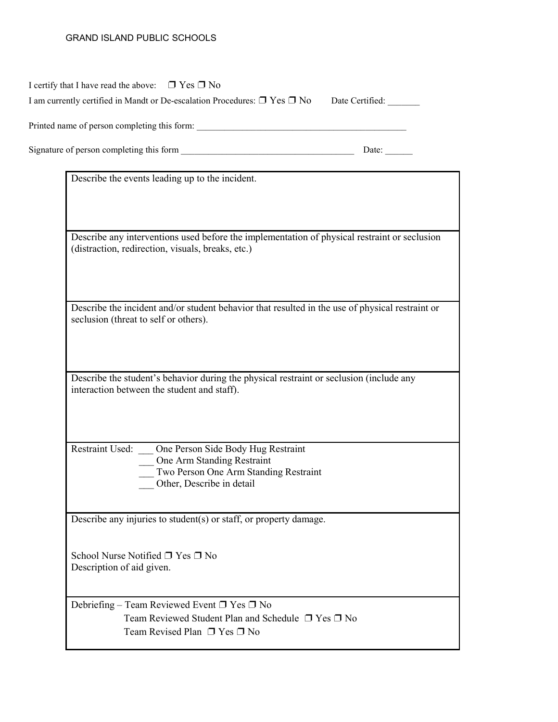## GRAND ISLAND PUBLIC SCHOOLS

| I certify that I have read the above: $\Box$ Yes $\Box$ No                                                                                        |
|---------------------------------------------------------------------------------------------------------------------------------------------------|
| I am currently certified in Mandt or De-escalation Procedures: $\Box$ Yes $\Box$ No<br>Date Certified:                                            |
|                                                                                                                                                   |
| Date:                                                                                                                                             |
| Describe the events leading up to the incident.                                                                                                   |
|                                                                                                                                                   |
|                                                                                                                                                   |
| Describe any interventions used before the implementation of physical restraint or seclusion<br>(distraction, redirection, visuals, breaks, etc.) |
|                                                                                                                                                   |
| Describe the incident and/or student behavior that resulted in the use of physical restraint or<br>seclusion (threat to self or others).          |
| Describe the student's behavior during the physical restraint or seclusion (include any                                                           |
| interaction between the student and staff).                                                                                                       |
| Restraint Used: __ One Person Side Body Hug Restraint                                                                                             |
| One Arm Standing Restraint<br>Two Person One Arm Standing Restraint                                                                               |
| Other, Describe in detail                                                                                                                         |
| Describe any injuries to student(s) or staff, or property damage.                                                                                 |
| School Nurse Notified □ Yes □ No<br>Description of aid given.                                                                                     |
| Debriefing – Team Reviewed Event $\Box$ Yes $\Box$ No<br>Team Reviewed Student Plan and Schedule □ Yes □ No<br>Team Revised Plan □ Yes □ No       |